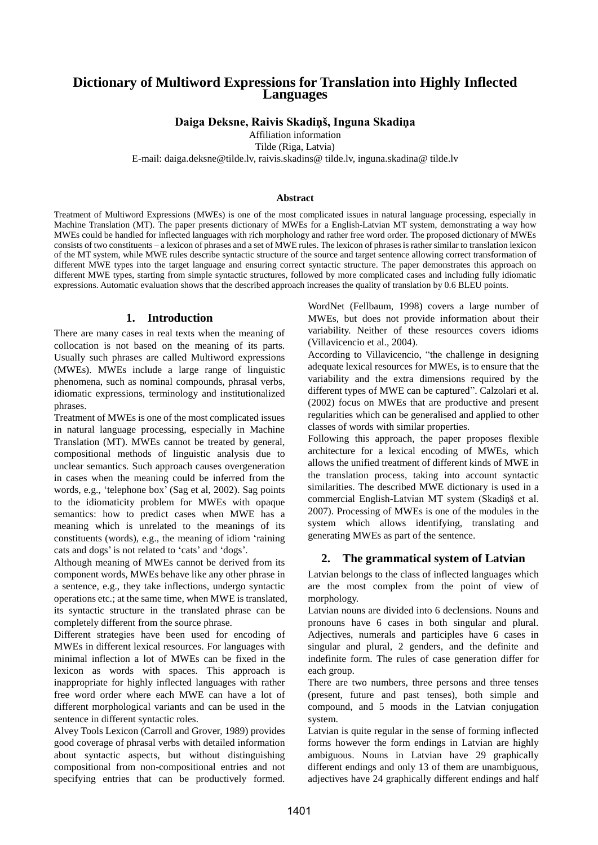# **Dictionary of Multiword Expressions for Translation into Highly Inflected Languages**

### **Daiga Deksne, Raivis Skadiņš, Inguna Skadiņa**

Affiliation information

Tilde (Riga, Latvia)

E-mail: daiga.deksne@tilde.lv, raivis.skadins@ tilde.lv, inguna.skadina@ tilde.lv

#### **Abstract**

Treatment of Multiword Expressions (MWEs) is one of the most complicated issues in natural language processing, especially in Machine Translation (MT). The paper presents dictionary of MWEs for a English-Latvian MT system, demonstrating a way how MWEs could be handled for inflected languages with rich morphology and rather free word order. The proposed dictionary of MWEs consists of two constituents – a lexicon of phrases and a set of MWE rules. The lexicon of phrases is rather similar to translation lexicon of the MT system, while MWE rules describe syntactic structure of the source and target sentence allowing correct transformation of different MWE types into the target language and ensuring correct syntactic structure. The paper demonstrates this approach on different MWE types, starting from simple syntactic structures, followed by more complicated cases and including fully idiomatic expressions. Automatic evaluation shows that the described approach increases the quality of translation by 0.6 BLEU points.

#### **1. Introduction**

There are many cases in real texts when the meaning of collocation is not based on the meaning of its parts. Usually such phrases are called Multiword expressions (MWEs). MWEs include a large range of linguistic phenomena, such as nominal compounds, phrasal verbs, idiomatic expressions, terminology and institutionalized phrases.

Treatment of MWEs is one of the most complicated issues in natural language processing, especially in Machine Translation (MT). MWEs cannot be treated by general, compositional methods of linguistic analysis due to unclear semantics. Such approach causes overgeneration in cases when the meaning could be inferred from the words, e.g., 'telephone box' (Sag et al, 2002). Sag points to the idiomaticity problem for MWEs with opaque semantics: how to predict cases when MWE has a meaning which is unrelated to the meanings of its constituents (words), e.g., the meaning of idiom 'raining cats and dogs' is not related to ‗cats' and ‗dogs'*.*

Although meaning of MWEs cannot be derived from its component words, MWEs behave like any other phrase in a sentence, e.g., they take inflections, undergo syntactic operations etc.; at the same time, when MWE is translated, its syntactic structure in the translated phrase can be completely different from the source phrase.

Different strategies have been used for encoding of MWEs in different lexical resources. For languages with minimal inflection a lot of MWEs can be fixed in the lexicon as words with spaces. This approach is inappropriate for highly inflected languages with rather free word order where each MWE can have a lot of different morphological variants and can be used in the sentence in different syntactic roles.

Alvey Tools Lexicon (Carroll and Grover, 1989) provides good coverage of phrasal verbs with detailed information about syntactic aspects, but without distinguishing compositional from non-compositional entries and not specifying entries that can be productively formed.

WordNet (Fellbaum, 1998) covers a large number of MWEs, but does not provide information about their variability. Neither of these resources covers idioms (Villavicencio et al., 2004).

According to Villavicencio, "the challenge in designing adequate lexical resources for MWEs, is to ensure that the variability and the extra dimensions required by the different types of MWE can be captured". Calzolari et al. (2002) focus on MWEs that are productive and present regularities which can be generalised and applied to other classes of words with similar properties.

Following this approach, the paper proposes flexible architecture for a lexical encoding of MWEs, which allows the unified treatment of different kinds of MWE in the translation process, taking into account syntactic similarities. The described MWE dictionary is used in a commercial English-Latvian MT system (Skadiņš et al. 2007). Processing of MWEs is one of the modules in the system which allows identifying, translating and generating MWEs as part of the sentence.

# **2. The grammatical system of Latvian**

Latvian belongs to the class of inflected languages which are the most complex from the point of view of morphology.

Latvian nouns are divided into 6 declensions. Nouns and pronouns have 6 cases in both singular and plural. Adjectives, numerals and participles have 6 cases in singular and plural, 2 genders, and the definite and indefinite form. The rules of case generation differ for each group.

There are two numbers, three persons and three tenses (present, future and past tenses), both simple and compound, and 5 moods in the Latvian conjugation system.

Latvian is quite regular in the sense of forming inflected forms however the form endings in Latvian are highly ambiguous. Nouns in Latvian have 29 graphically different endings and only 13 of them are unambiguous, adjectives have 24 graphically different endings and half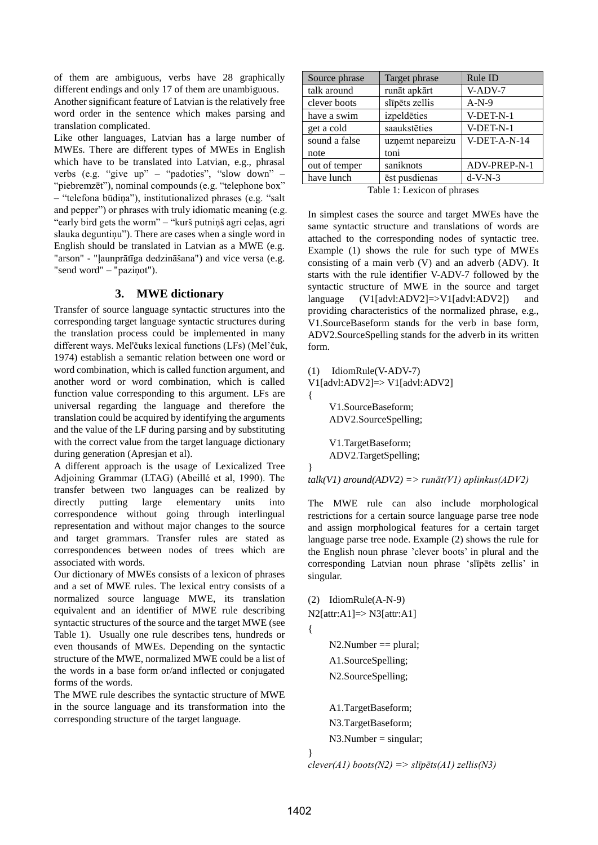of them are ambiguous, verbs have 28 graphically different endings and only 17 of them are unambiguous.

Another significant feature of Latvian is the relatively free word order in the sentence which makes parsing and translation complicated.

Like other languages, Latvian has a large number of MWEs. There are different types of MWEs in English which have to be translated into Latvian, e.g., phrasal verbs (e.g. "give up" – "padoties", "slow down" – "piebremzēt"), nominal compounds (e.g. "telephone box" – ―telefona būdiņa‖), institutionalized phrases (e.g. ―salt and pepper") or phrases with truly idiomatic meaning (e.g. "early bird gets the worm" – "kurš putniņš agri ceļas, agri slauka deguntiņu"). There are cases when a single word in English should be translated in Latvian as a MWE (e.g. "arson" - "ļaunprātīga dedzināšana") and vice versa (e.g. "send word" – "paziņot").

## **3. MWE dictionary**

Transfer of source language syntactic structures into the corresponding target language syntactic structures during the translation process could be implemented in many different ways. Mel'čuks lexical functions (LFs) (Mel'čuk, 1974) establish a semantic relation between one word or word combination, which is called function argument, and another word or word combination, which is called function value corresponding to this argument. LFs are universal regarding the language and therefore the translation could be acquired by identifying the arguments and the value of the LF during parsing and by substituting with the correct value from the target language dictionary during generation (Apresjan et al).

A different approach is the usage of Lexicalized Tree Adjoining Grammar (LTAG) (Abeillé et al, 1990). The transfer between two languages can be realized by directly putting large elementary units into correspondence without going through interlingual representation and without major changes to the source and target grammars. Transfer rules are stated as correspondences between nodes of trees which are associated with words.

Our dictionary of MWEs consists of a lexicon of phrases and a set of MWE rules. The lexical entry consists of a normalized source language MWE, its translation equivalent and an identifier of MWE rule describing syntactic structures of the source and the target MWE (see Table 1). Usually one rule describes tens, hundreds or even thousands of MWEs. Depending on the syntactic structure of the MWE, normalized MWE could be a list of the words in a base form or/and inflected or conjugated forms of the words.

The MWE rule describes the syntactic structure of MWE in the source language and its transformation into the corresponding structure of the target language.

| Source phrase | Target phrase    | Rule ID      |  |
|---------------|------------------|--------------|--|
| talk around   | runāt apkārt     | V-ADV-7      |  |
| clever boots  | slīpēts zellis   | $A-N-9$      |  |
| have a swim   | izpeldēties      | V-DET-N-1    |  |
| get a cold    | saaukstēties     | V-DET-N-1    |  |
| sound a false | uzņemt nepareizu | V-DET-A-N-14 |  |
| note          | toni             |              |  |
| out of temper | saniknots        | ADV-PREP-N-1 |  |
| have lunch    | ēst pusdienas    | $d-V-N-3$    |  |
|               |                  |              |  |

Table 1: Lexicon of phrases

In simplest cases the source and target MWEs have the same syntactic structure and translations of words are attached to the corresponding nodes of syntactic tree. Example (1) shows the rule for such type of MWEs consisting of a main verb (V) and an adverb (ADV). It starts with the rule identifier V-ADV-7 followed by the syntactic structure of MWE in the source and target language (V1[advl:ADV2]=>V1[advl:ADV2]) and providing characteristics of the normalized phrase, e.g., V1.SourceBaseform stands for the verb in base form, ADV2.SourceSpelling stands for the adverb in its written form.

(1) IdiomRule(V-ADV-7)

{

}

V1[advl:ADV2]=> V1[advl:ADV2]

V1.SourceBaseform; ADV2.SourceSpelling;

V1.TargetBaseform; ADV2.TargetSpelling;

*talk(V1) around(ADV2) => runāt(V1) aplinkus(ADV2)*

The MWE rule can also include morphological restrictions for a certain source language parse tree node and assign morphological features for a certain target language parse tree node. Example (2) shows the rule for the English noun phrase 'clever boots' in plural and the corresponding Latvian noun phrase 'slīpēts zellis' in singular.

(2) IdiomRule(A-N-9)  $N2[attr:A1] \Rightarrow N3[attr:A1]$ 

```
N2.Number == plural;
```
A1.SourceSpelling; N2.SourceSpelling;

A1.TargetBaseform; N3.TargetBaseform;

```
N3.Number = singular;
```

```
}
```
{

*clever(A1) boots(N2) => slīpēts(A1) zellis(N3)*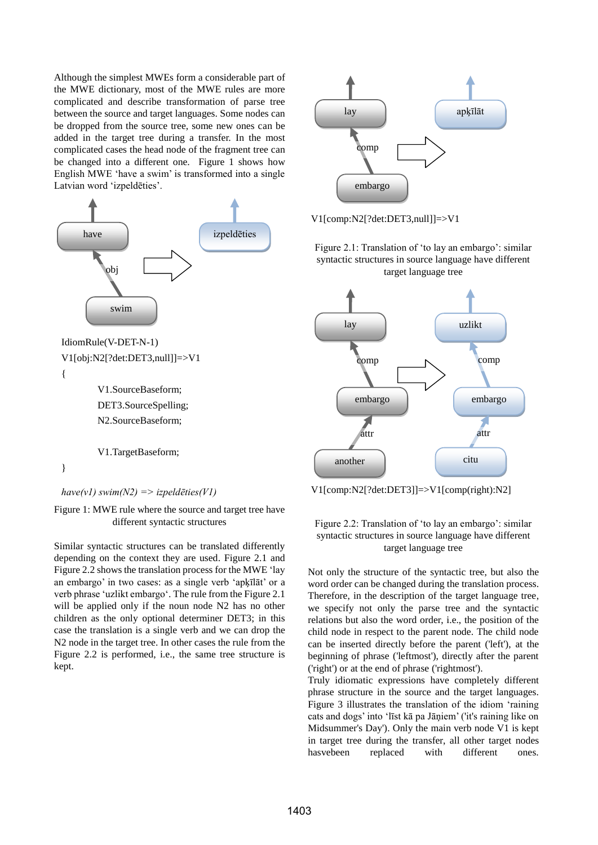Although the simplest MWEs form a considerable part of the MWE dictionary, most of the MWE rules are more complicated and describe transformation of parse tree between the source and target languages. Some nodes can be dropped from the source tree, some new ones can be added in the target tree during a transfer. In the most complicated cases the head node of the fragment tree can be changed into a different one. Figure 1 shows how English MWE 'have a swim' is transformed into a single Latvian word 'izpeldēties'.



{

V1.SourceBaseform; DET3.SourceSpelling; N2.SourceBaseform;

V1.TargetBaseform;

}

*have(v1) swim(N2) => izpeldēties(V1)*

Figure 1: MWE rule where the source and target tree have different syntactic structures

Similar syntactic structures can be translated differently depending on the context they are used. Figure 2.1 and Figure 2.2 shows the translation process for the MWE 'lay an embargo' in two cases: as a single verb 'apķīlāt' or a verb phrase ‗uzlikt embargo‗. The rule from the Figure 2.1 will be applied only if the noun node N2 has no other children as the only optional determiner DET3; in this case the translation is a single verb and we can drop the N2 node in the target tree. In other cases the rule from the Figure 2.2 is performed, i.e., the same tree structure is kept.



V1[comp:N2[?det:DET3,null]]=>V1

### Figure 2.1: Translation of 'to lay an embargo': similar syntactic structures in source language have different target language tree



V1[comp:N2[?det:DET3]]=>V1[comp(right):N2]

### Figure 2.2: Translation of 'to lay an embargo': similar syntactic structures in source language have different target language tree

Not only the structure of the syntactic tree, but also the word order can be changed during the translation process. Therefore, in the description of the target language tree, we specify not only the parse tree and the syntactic relations but also the word order, i.e., the position of the child node in respect to the parent node. The child node can be inserted directly before the parent ('left'), at the beginning of phrase ('leftmost'), directly after the parent ('right') or at the end of phrase ('rightmost').

Truly idiomatic expressions have completely different phrase structure in the source and the target languages. Figure 3 illustrates the translation of the idiom 'raining cats and dogs' into ‗līst kā pa Jāņiem' ('it's raining like on Midsummer's Day'). Only the main verb node V1 is kept in target tree during the transfer, all other target nodes hasvebeen replaced with different ones.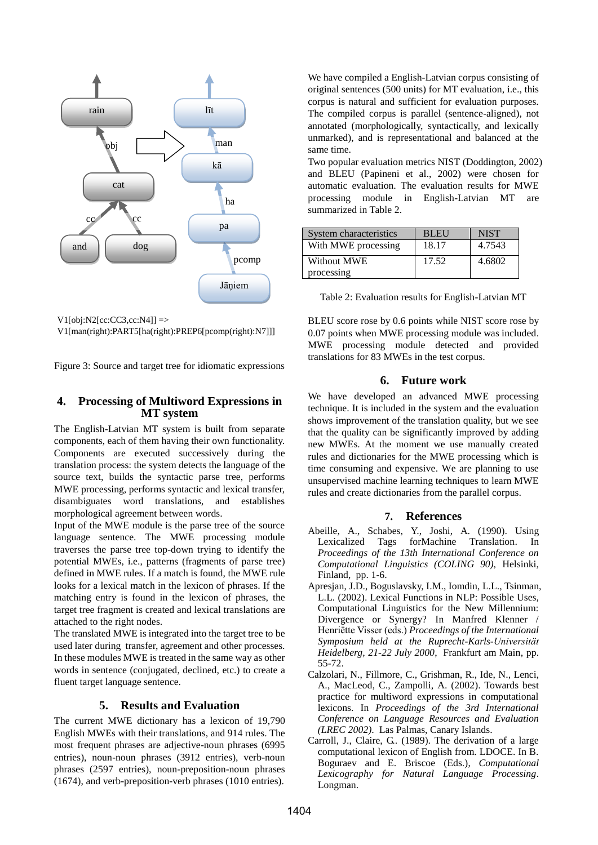

 $V1[obj:N2[cc:CC3,cc:N4]] = >$ 

V1[man(right):PART5[ha(right):PREP6[pcomp(right):N7]]]

Figure 3: Source and target tree for idiomatic expressions

## **4. Processing of Multiword Expressions in MT system**

The English-Latvian MT system is built from separate components, each of them having their own functionality. Components are executed successively during the translation process: the system detects the language of the source text, builds the syntactic parse tree, performs MWE processing, performs syntactic and lexical transfer, disambiguates word translations, and establishes morphological agreement between words.

Input of the MWE module is the parse tree of the source language sentence. The MWE processing module traverses the parse tree top-down trying to identify the potential MWEs, i.e., patterns (fragments of parse tree) defined in MWE rules. If a match is found, the MWE rule looks for a lexical match in the lexicon of phrases. If the matching entry is found in the lexicon of phrases, the target tree fragment is created and lexical translations are attached to the right nodes.

The translated MWE is integrated into the target tree to be used later during transfer, agreement and other processes. In these modules MWE is treated in the same way as other words in sentence (conjugated, declined, etc.) to create a fluent target language sentence.

#### **5. Results and Evaluation**

The current MWE dictionary has a lexicon of 19,790 English MWEs with their translations, and 914 rules. The most frequent phrases are adjective-noun phrases (6995 entries), noun-noun phrases (3912 entries), verb-noun phrases (2597 entries), noun-preposition-noun phrases (1674), and verb-preposition-verb phrases (1010 entries).

We have compiled a English-Latvian corpus consisting of original sentences (500 units) for MT evaluation, i.e., this corpus is natural and sufficient for evaluation purposes. The compiled corpus is parallel (sentence-aligned), not annotated (morphologically, syntactically, and lexically unmarked), and is representational and balanced at the same time.

Two popular evaluation metrics NIST (Doddington, 2002) and BLEU (Papineni et al., 2002) were chosen for automatic evaluation. The evaluation results for MWE processing module in English-Latvian MT are summarized in Table 2.

| System characteristics | <b>BLEU</b> | <b>NIST</b> |
|------------------------|-------------|-------------|
| With MWE processing    | 18.17       | 4.7543      |
| Without MWE            | 17.52       | 4.6802      |
| processing             |             |             |

BLEU score rose by 0.6 points while NIST score rose by 0.07 points when MWE processing module was included. MWE processing module detected and provided translations for 83 MWEs in the test corpus.

#### **6. Future work**

We have developed an advanced MWE processing technique. It is included in the system and the evaluation shows improvement of the translation quality, but we see that the quality can be significantly improved by adding new MWEs. At the moment we use manually created rules and dictionaries for the MWE processing which is time consuming and expensive. We are planning to use unsupervised machine learning techniques to learn MWE rules and create dictionaries from the parallel corpus.

#### **7. References**

- Abeille, A., Schabes, Y., Joshi, A. (1990). Using Lexicalized Tags forMachine Translation. In *Proceedings of the 13th International Conference on Computational Linguistics (COLING 90),* Helsinki, Finland, pp. 1-6.
- Apresjan, J.D., Boguslavsky, I.M., Iomdin, L.L., Tsinman, L.L. (2002). Lexical Functions in NLP: Possible Uses, Computational Linguistics for the New Millennium: Divergence or Synergy? In Manfred Klenner / Henriëtte Visser (eds.) *Proceedings of the International Symposium held at the Ruprecht-Karls-Universität Heidelberg, 21-22 July 2000*, Frankfurt am Main, pp. 55-72.
- Calzolari, N., Fillmore, C., Grishman, R., Ide, N., Lenci, A., MacLeod, C., Zampolli, A. (2002). Towards best practice for multiword expressions in computational lexicons. In *Proceedings of the 3rd International Conference on Language Resources and Evaluation (LREC 2002)*. Las Palmas, Canary Islands.
- Carroll, J., Claire, G.. (1989). The derivation of a large computational lexicon of English from. LDOCE. In B. Boguraev and E. Briscoe (Eds.), *Computational Lexicography for Natural Language Processing*. Longman.